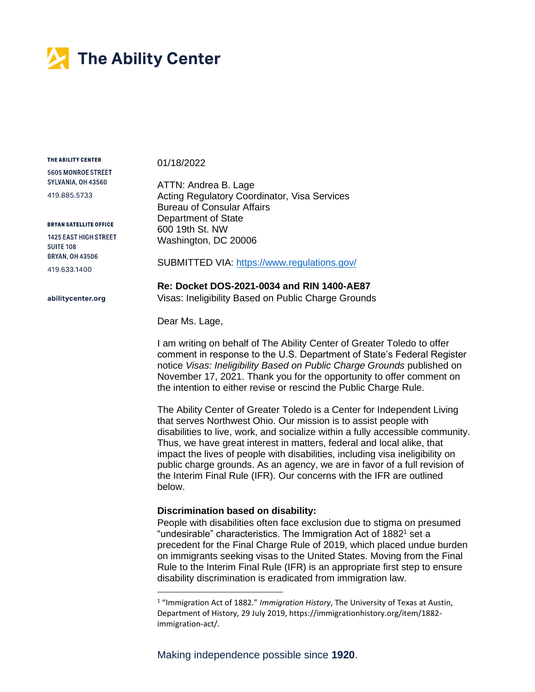

THE ABILITY CENTER

01/18/2022

5605 MONROE STREET SYLVANIA, OH 43560 419.885.5733

**BRYAN SATELLITE OFFICE** 1425 EAST HIGH STREET

**SUITE 108 BRYAN, OH 43506** 419 633 1400

abilitycenter.org

ATTN: Andrea B. Lage Acting Regulatory Coordinator, Visa Services Bureau of Consular Affairs Department of State 600 19th St. NW Washington, DC 20006

SUBMITTED VIA:<https://www.regulations.gov/>

**Re: Docket DOS-2021-0034 and RIN 1400-AE87** Visas: Ineligibility Based on Public Charge Grounds

Dear Ms. Lage,

I am writing on behalf of The Ability Center of Greater Toledo to offer comment in response to the U.S. Department of State's Federal Register notice *Visas: Ineligibility Based on Public Charge Grounds* published on November 17, 2021. Thank you for the opportunity to offer comment on the intention to either revise or rescind the Public Charge Rule.

The Ability Center of Greater Toledo is a Center for Independent Living that serves Northwest Ohio. Our mission is to assist people with disabilities to live, work, and socialize within a fully accessible community. Thus, we have great interest in matters, federal and local alike, that impact the lives of people with disabilities, including visa ineligibility on public charge grounds. As an agency, we are in favor of a full revision of the Interim Final Rule (IFR). Our concerns with the IFR are outlined below.

# **Discrimination based on disability:**

People with disabilities often face exclusion due to stigma on presumed "undesirable" characteristics. The Immigration Act of  $1882<sup>1</sup>$  set a precedent for the Final Charge Rule of 2019, which placed undue burden on immigrants seeking visas to the United States. Moving from the Final Rule to the Interim Final Rule (IFR) is an appropriate first step to ensure disability discrimination is eradicated from immigration law.

<sup>1</sup> "Immigration Act of 1882." *Immigration History*, The University of Texas at Austin, Department of History, 29 July 2019, https://immigrationhistory.org/item/1882 immigration-act/.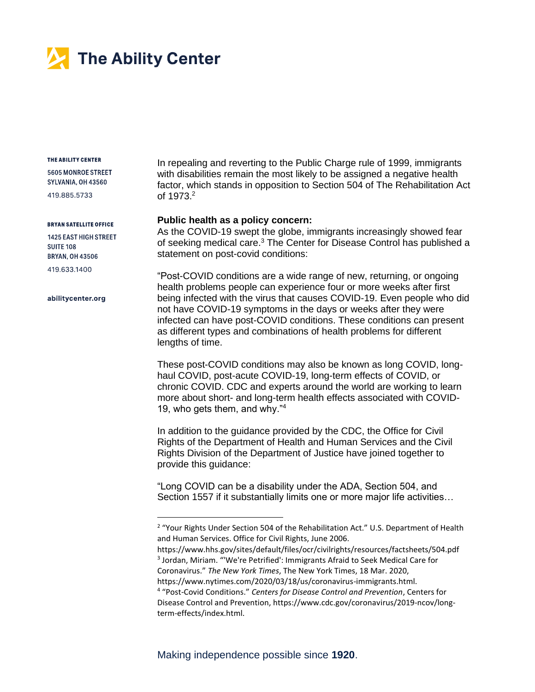

#### THE ABILITY CENTER

5605 MONROE STREET SYLVANIA, OH 43560

419.885.5733

#### **BRYAN SATELLITE OFFICE**

1425 EAST HIGH STREET **SUITE 108 BRYAN, OH 43506** 419 633 1400

abilitycenter.org

In repealing and reverting to the Public Charge rule of 1999, immigrants with disabilities remain the most likely to be assigned a negative health factor, which stands in opposition to Section 504 of The Rehabilitation Act of 1973.<sup>2</sup>

## **Public health as a policy concern:**

As the COVID-19 swept the globe, immigrants increasingly showed fear of seeking medical care.<sup>3</sup> The Center for Disease Control has published a statement on post-covid conditions:

"Post-COVID conditions are a wide range of new, returning, or ongoing health problems people can experience four or more weeks after first being infected with the virus that causes COVID-19. Even people who did not have COVID-19 symptoms in the days or weeks after they were infected can have post-COVID conditions. These conditions can present as different types and combinations of health problems for different lengths of time.

These post-COVID conditions may also be known as long COVID, longhaul COVID, post-acute COVID-19, long-term effects of COVID, or chronic COVID. CDC and experts around the world are working to learn more about short- and long-term health effects associated with COVID-19, who gets them, and why."<sup>4</sup>

In addition to the guidance provided by the CDC, the Office for Civil Rights of the Department of Health and Human Services and the Civil Rights Division of the Department of Justice have joined together to provide this guidance:

"Long COVID can be a disability under the ADA, Section 504, and Section 1557 if it substantially limits one or more major life activities...

<sup>&</sup>lt;sup>2</sup> "Your Rights Under Section 504 of the Rehabilitation Act." U.S. Department of Health and Human Services․ Office for Civil Rights, June 2006.

https://www.hhs.gov/sites/default/files/ocr/civilrights/resources/factsheets/504.pdf <sup>3</sup> Jordan, Miriam. "'We're Petrified': Immigrants Afraid to Seek Medical Care for Coronavirus." *The New York Times*, The New York Times, 18 Mar. 2020,

https://www.nytimes.com/2020/03/18/us/coronavirus-immigrants.html.

<sup>4</sup> "Post-Covid Conditions." *Centers for Disease Control and Prevention*, Centers for Disease Control and Prevention, https://www.cdc.gov/coronavirus/2019-ncov/longterm-effects/index.html.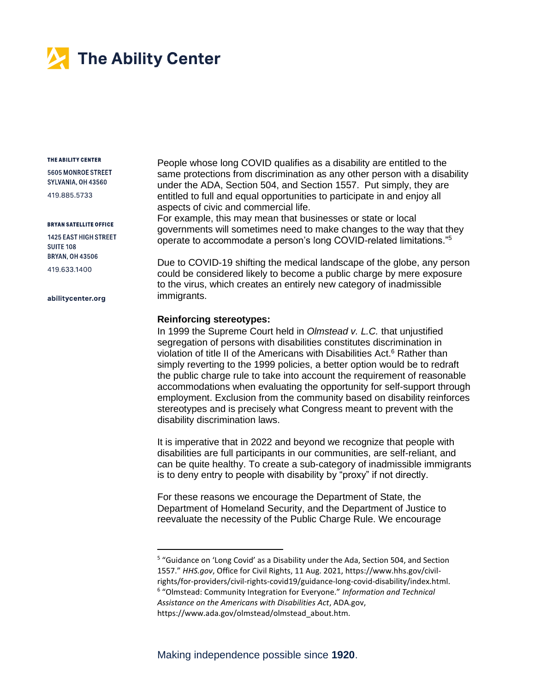

#### THE ABILITY CENTER

5605 MONROE STREET SYLVANIA, OH 43560

419.885.5733

#### **BRYAN SATELLITE OFFICE**

1425 EAST HIGH STREET **SUITE 108 BRYAN, OH 43506** 419 633 1400

abilitycenter.org

People whose long COVID qualifies as a disability are entitled to the same protections from discrimination as any other person with a disability under the ADA, Section 504, and Section 1557. Put simply, they are entitled to full and equal opportunities to participate in and enjoy all aspects of civic and commercial life.

For example, this may mean that businesses or state or local governments will sometimes need to make changes to the way that they operate to accommodate a person's long COVID-related limitations."<sup>5</sup>

Due to COVID-19 shifting the medical landscape of the globe, any person could be considered likely to become a public charge by mere exposure to the virus, which creates an entirely new category of inadmissible immigrants.

## **Reinforcing stereotypes:**

In 1999 the Supreme Court held in *Olmstead v. L.C.* that unjustified segregation of persons with disabilities constitutes discrimination in violation of title II of the Americans with Disabilities Act. <sup>6</sup> Rather than simply reverting to the 1999 policies, a better option would be to redraft the public charge rule to take into account the requirement of reasonable accommodations when evaluating the opportunity for self-support through employment. Exclusion from the community based on disability reinforces stereotypes and is precisely what Congress meant to prevent with the disability discrimination laws.

It is imperative that in 2022 and beyond we recognize that people with disabilities are full participants in our communities, are self-reliant, and can be quite healthy. To create a sub-category of inadmissible immigrants is to deny entry to people with disability by "proxy" if not directly.

For these reasons we encourage the Department of State, the Department of Homeland Security, and the Department of Justice to reevaluate the necessity of the Public Charge Rule. We encourage

<sup>&</sup>lt;sup>5</sup> "Guidance on 'Long Covid' as a Disability under the Ada, Section 504, and Section 1557." *HHS.gov*, Office for Civil Rights, 11 Aug. 2021, https://www.hhs.gov/civilrights/for-providers/civil-rights-covid19/guidance-long-covid-disability/index.html.

<sup>6</sup> "Olmstead: Community Integration for Everyone." *Information and Technical Assistance on the Americans with Disabilities Act*, ADA.gov,

https://www.ada.gov/olmstead/olmstead\_about.htm.